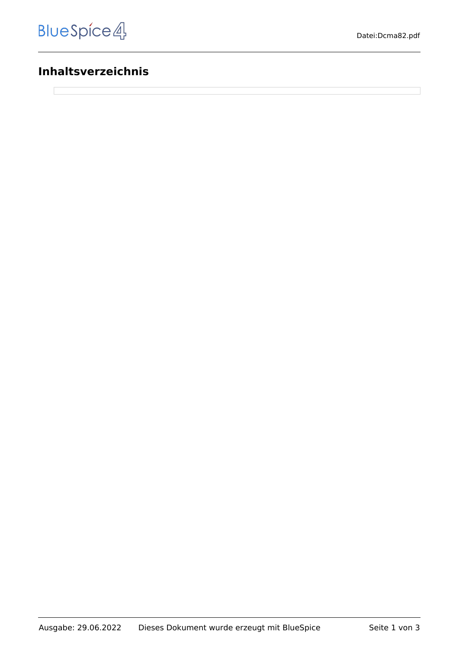## **Inhaltsverzeichnis**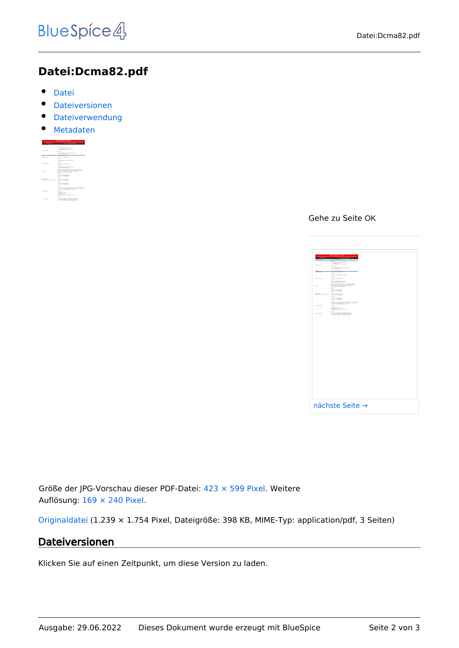## **Datei:Dcma82.pdf**

- $\bullet$ [Datei](#page-1-0)
- [Dateiversionen](#page-1-1)
- **•** [Dateiverwendung](#page-2-0)
- [Metadaten](#page-2-1)

<span id="page-1-0"></span>

|                                                            | <b>MIGAGINATION AND LOCALITY</b><br>Industrial analy high source hid ringing highly and mix PC module. Rubit constitution                                                              |
|------------------------------------------------------------|----------------------------------------------------------------------------------------------------------------------------------------------------------------------------------------|
|                                                            |                                                                                                                                                                                        |
| -------                                                    | --------                                                                                                                                                                               |
|                                                            | 1.111                                                                                                                                                                                  |
| <b>Experts Britts</b>                                      | 5.5 - 5. Paintings 1.5 - 5. Schwarzer Ville<br><b>DOWNER HEARING</b>                                                                                                                   |
|                                                            | <b>Connect</b>                                                                                                                                                                         |
|                                                            | A 49 - A 49 West With Thingh WTA will need<br>A 471 - A 497-978-761 month                                                                                                              |
| <b>ENGINE</b>                                              | <b>MARINE PRODUCT</b>                                                                                                                                                                  |
| <b>That due of share</b>                                   | LOAN AVE ANNE LOAN                                                                                                                                                                     |
|                                                            | 10000                                                                                                                                                                                  |
|                                                            | <b>WINDOWS ARTS ARTS AND ASSESSED</b>                                                                                                                                                  |
|                                                            | 1.011                                                                                                                                                                                  |
| <b><i>RAMAY MEAN</i></b>                                   | <b>FOR ARTIST BUTCH FOTO</b>                                                                                                                                                           |
|                                                            | $+$ and the                                                                                                                                                                            |
|                                                            | <b>WINDOWS STATE SERVICES</b><br>FOR AS THE GATE FROM                                                                                                                                  |
| <b>DATE</b>                                                | A 23 To formation the 41 to 16 To 16 Billion and Mary<br>THE FILTER PARK THE RETAIL BLUE THIS ASSISTED.<br>are real to see I seek advanced also related<br>The red business with terms |
|                                                            | $+$ and the                                                                                                                                                                            |
|                                                            | <b>Dutch of three British</b><br><b>SAV 15 - TRINGROOM</b>                                                                                                                             |
|                                                            | 2.011                                                                                                                                                                                  |
| <b><i><u>DISPONDER</u></i></b><br>where the assumption and | <b>Public Ad BENNETWALK</b><br><b>SAVID - MANUFINAL</b>                                                                                                                                |
|                                                            | 1.0111                                                                                                                                                                                 |
|                                                            | <b>Dutch of three British</b><br>new in consuming                                                                                                                                      |
|                                                            | 1.011                                                                                                                                                                                  |
|                                                            | VATASAN TEGA-AANNAS PASAN & TU-3 MAIN 578-2480000<br>Syllon 19-51-Authoris, Painters N. - 5 Miles N.P., Schmidter<br>and announced damage in careers.                                  |
| <b><i>The Art Christien</i></b>                            | 4.0178                                                                                                                                                                                 |
|                                                            | <b>Williams 15.5 Jan</b><br><b>Start Service Courts</b> 18. F - 19.<br>mine arts, we<br>deal talents in the ten was made to                                                            |
|                                                            | 1.001                                                                                                                                                                                  |
| For Treatment                                              | <b>PETATUR WAS IN LINEARAN TRANSMIT</b><br>or lance land in imposed smoke-                                                                                                             |

Gehe zu Seite OK

|                            | <u>the contract of the contract of the contract of the contract of the contract of the contract of the contract of the contract of the contract of the contract of the contract of the contract of the contract of the contract </u>                                                                               |  |
|----------------------------|--------------------------------------------------------------------------------------------------------------------------------------------------------------------------------------------------------------------------------------------------------------------------------------------------------------------|--|
|                            | $\overline{\phantom{a}}$                                                                                                                                                                                                                                                                                           |  |
|                            | $\begin{aligned} 1 &\cdot 11 &\cdot 14 &\cdot 1400000 &\cdot 14.570000 &\cdot 14.5800000 &\cdot 16.10000 \\ 2 &\cdot 24.55 &\cdot 14.000000 &\cdot 16.00000 &\cdot 14.50000 &\cdot 14.000000 &\cdot 14.000000 &\cdot 14.000000 &\cdot 14.000000 &\cdot 14.000000 &\cdot 14.000000 &\cdot 14.000000 &\cdot 14.0000$ |  |
|                            | <b>Allena</b>                                                                                                                                                                                                                                                                                                      |  |
|                            | A 495 - A substitute for the fluctuate of the party and pro-<br>A 475 - A substitute for any pair                                                                                                                                                                                                                  |  |
|                            | <b>BASIC PARTS</b><br><b><i>SAN FR GUESTART</i></b>                                                                                                                                                                                                                                                                |  |
|                            | $\bullet$ mm<br>------------------                                                                                                                                                                                                                                                                                 |  |
|                            | $\sim$                                                                                                                                                                                                                                                                                                             |  |
| or terms                   | <b>FRAME OF GROUP AND</b><br><b>County</b>                                                                                                                                                                                                                                                                         |  |
|                            | STORAGEMENT SPW, SURVEYA ESP                                                                                                                                                                                                                                                                                       |  |
|                            | We the characterization of the state $\mathcal{M}$ as a subsequent function of the local state function of the later of the later of the later of the later of the later of the later of the later of the later of the later of th                                                                                 |  |
|                            | <b>County</b>                                                                                                                                                                                                                                                                                                      |  |
|                            | home as those does                                                                                                                                                                                                                                                                                                 |  |
| <b>HATCHER COMPANY AND</b> | <b>COLOR</b><br>have a monthly                                                                                                                                                                                                                                                                                     |  |
|                            | $\sim$                                                                                                                                                                                                                                                                                                             |  |
|                            | home our strong days                                                                                                                                                                                                                                                                                               |  |
|                            | $+$<br>.<br>Indian de Terrasandegog, chamado de a follata e foi a futura<br>Indian del mandagag d'armado de a follata de a foi del latera                                                                                                                                                                          |  |
|                            | in an                                                                                                                                                                                                                                                                                                              |  |
|                            | which<br>said $\mathcal{M}(f\circ F)$ , $\mathcal{M}(f\circ F)$ , $\mathcal{M}(g) = \mathcal{M}(f\circ F) + \mathcal{M}(f) + \mathcal{M}(f) + \mathcal{M}(f) + \mathcal{M}(f)$ ,<br>where $\mathcal{M}(f)$ , $\mathcal{M}(g)$ , it as using its<br>contract of $f$ , $\mathcal{M}(f)$                              |  |
|                            | $\cdots$                                                                                                                                                                                                                                                                                                           |  |
| energie                    | <b>RI TA SAN IRAIN (M. 1991) ENVIRONAL TANINGAL</b><br>RI TA SAN IRAIN (M. 1991) ENVIRONAL ENVIRONAL<br>RI TA SAN IRAIN (M. 1991) ENVIRONAL ENVIRONAL                                                                                                                                                              |  |
|                            |                                                                                                                                                                                                                                                                                                                    |  |
|                            |                                                                                                                                                                                                                                                                                                                    |  |

Größe der JPG-Vorschau dieser PDF-Datei: [423 × 599 Pixel](https://wiki.oevsv.at/w/nsfr_img_auth.php/thumb/a/af/Dcma82.pdf/page1-423px-Dcma82.pdf.jpg). Weitere Auflösung: [169 × 240 Pixel.](https://wiki.oevsv.at/w/nsfr_img_auth.php/thumb/a/af/Dcma82.pdf/page1-169px-Dcma82.pdf.jpg)

[Originaldatei](https://wiki.oevsv.at/w/nsfr_img_auth.php/a/af/Dcma82.pdf) (1.239 × 1.754 Pixel, Dateigröße: 398 KB, MIME-Typ: application/pdf, 3 Seiten)

### <span id="page-1-1"></span>Dateiversionen

Klicken Sie auf einen Zeitpunkt, um diese Version zu laden.